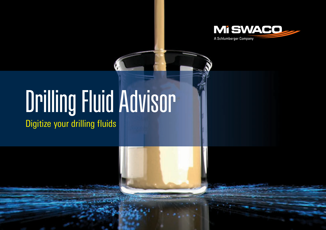

# Drilling Fluid Advisor

Digitize your drilling fluids

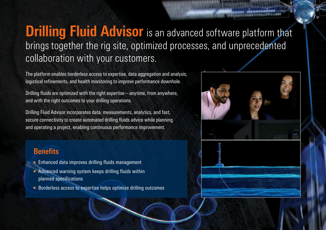### **Drilling Fluid Advisor** is an advanced software platform that brings together the rig site, optimized processes, and unprecedented collaboration with your customers.

The platform enables borderless access to expertise, data aggregation and analysis, logistical refinements, and health monitoring to improve performance downhole.

Drilling fluids are optimized with the right expertise—anytime, from anywhere, and with the right outcomes to your drilling operations.

Drilling Fluid Advisor incorporates data, measurements, analytics, and fast, secure connectivity to create automated drilling fluids advice while planning and operating a project, enabling continuous performance improvement.

#### **Benefits**

- Enhanced data improves drilling fluids management
- Advanced warning system keeps drilling fluids within planned specifications
- Borderless access to expertise helps optimize drilling outcomes

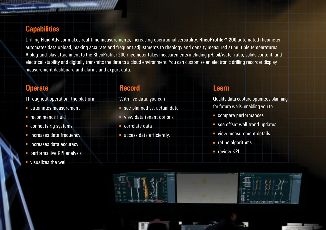#### **Capabilities**

Drilling Fluid Advisor makes real-time measurements, increasing operational versatility. **RheoProfiler\* 200** automated rheometer automates data upload, making accurate and frequent adjustments to rheology and density measured at multiple temperatures. A plug-and-play attachment to the RheoProfiler 200 rheometer takes measurements including pH, oil/water ratio, solids content, and electrical stability and digitally transmits the data to a cloud environment. You can customize an electronic drilling recorder display measurement dashboard and alarms and export data.

#### **Operate**

Throughout operation, the platform

- automates measurement
- recommends fluid
- connects rig systems
- increases data frequency
- increases data accuracy
- performs live KPI analysis
- visualizes the well.

#### **Record**

With live data, you can

- see planned vs. actual data
- view data tenant options
- correlate data
- access data efficiently.

#### **Learn**

Quality data capture optimizes planning for future wells, enabling you to

- compare performances
- see offset well trend updates
- view measurement details
- refine algorithms
- review KPI.